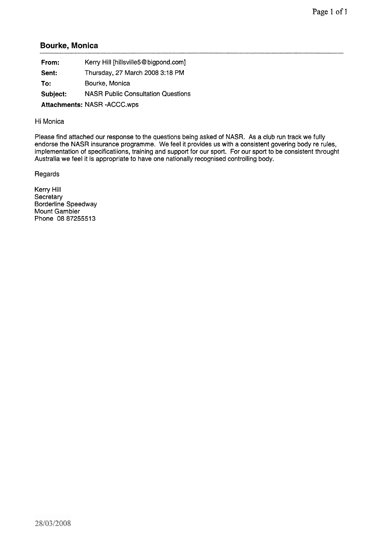## **Bourke, Monica**

| From:    | Kerry Hill [hillsville5@bigpond.com]      |
|----------|-------------------------------------------|
| Sent:    | Thursday, 27 March 2008 3:18 PM           |
| To:      | Bourke, Monica                            |
| Subject: | <b>NASR Public Consultation Questions</b> |
|          | Attachments: NASR - ACCC.wps              |

## Hi Monica

Please find attached our response to the questions being asked of NASR. As a club run track we fully endorse the NASR insurance programme. We feel it provides us with a consistent govering body re rules, implementation of specificatiions, training and support for our sport. For our sport to be consistent throught Australia we feel it is appropriate to have one nationally recognised controlling body.

Regards

Kerry Hill **Secretary** Borderline Speedway Mount Gambier Phone 0887255513